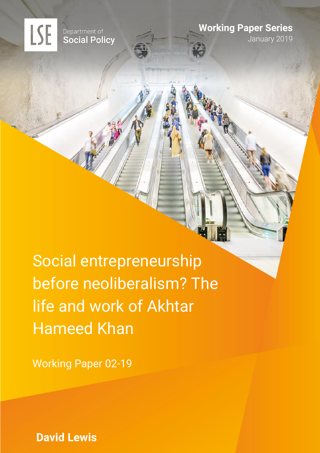Department of<br>Social Policy

**LSE** 

**Working Paper Series**

January 2019

Social entrepreneurship before neoliberalism? The life and work of Akhtar Hameed Khan

Working Paper 02-19

**David Lewis**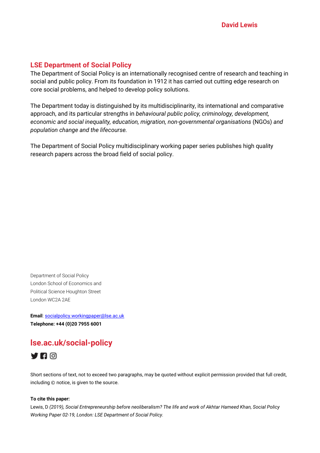## **LSE Department of Social Policy**

The Department of Social Policy is an internationally recognised centre of research and teaching in social and public policy. From its foundation in 1912 it has carried out cutting edge research on core social problems, and helped to develop policy solutions.

The Department today is distinguished by its multidisciplinarity, its international and comparative approach, and its particular strengths in *behavioural public policy, criminology, development, economic and social inequality, education, migration, non-governmental organisations* (NGOs) *and population change and the lifecourse.* 

The Department of Social Policy multidisciplinary working paper series publishes high quality research papers across the broad field of social policy.

Department of Social Policy London School of Economics and Political Science Houghton Street London WC2A 2AE

**Email**[: socialpolicy.workingpaper@lse.ac.uk](mailto:socialpolicy.workingpaper@lse.ac.uk) **Telephone: +44 (0)20 7955 6001** 

# **lse.ac.uk/social-policy**



Short sections of text, not to exceed two paragraphs, may be quoted without explicit permission provided that full credit, including © notice, is given to the source.

#### **To cite this paper:**

Lewis, D *(2019), Social Entrepreneurship before neoliberalism? The life and work of Akhtar Hameed Khan, Social Policy Working Paper 02-19, London: LSE Department of Social Policy.*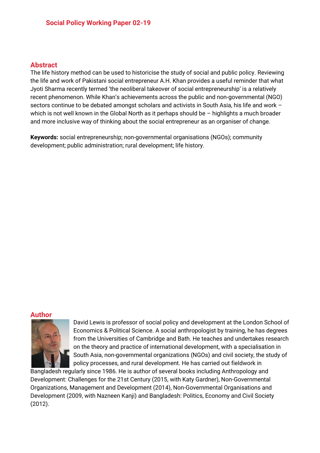## **Abstract**

The life history method can be used to historicise the study of social and public policy. Reviewing the life and work of Pakistani social entrepreneur A.H. Khan provides a useful reminder that what Jyoti Sharma recently termed 'the neoliberal takeover of social entrepreneurship' is a relatively recent phenomenon. While Khan's achievements across the public and non-governmental (NGO) sectors continue to be debated amongst scholars and activists in South Asia, his life and work – which is not well known in the Global North as it perhaps should be – highlights a much broader and more inclusive way of thinking about the social entrepreneur as an organiser of change.

**Keywords:** social entrepreneurship; non-governmental organisations (NGOs); community development; public administration; rural development; life history.

### **Author**



David Lewis is professor of social policy and development at the London School of Economics & Political Science. A social anthropologist by training, he has degrees from the Universities of Cambridge and Bath. He teaches and undertakes research on the theory and practice of international development, with a specialisation in South Asia, non-governmental organizations (NGOs) and civil society, the study of policy processes, and rural development. He has carried out fieldwork in

Bangladesh regularly since 1986. He is author of several books including Anthropology and Development: Challenges for the 21st Century (2015, with Katy Gardner), Non-Governmental Organizations, Management and Development (2014), Non-Governmental Organisations and Development (2009, with Nazneen Kanji) and Bangladesh: Politics, Economy and Civil Society (2012).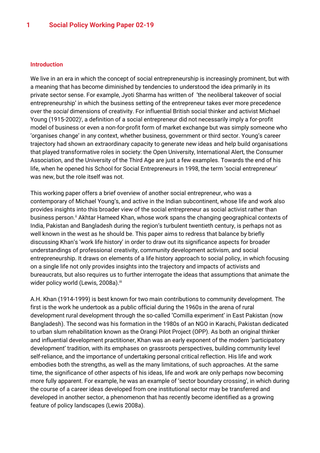#### **Introduction**

We live in an era in which the concept of social entrepreneurship is increasingly prominent, but with a meaning that has become diminished by tendencies to understood the idea primarily in its private sector sense. For example, Jyoti Sharma has written of 'the neoliberal takeover of social entrepreneurship' in which the business setting of the entrepreneur takes ever more precedence over the *social* dimensions of creativity. For influential British social thinker and activist Michael Young (1915-2002)<sup>;</sup>, a definition of a social entrepreneur did not necessarily imply a for-profit model of business or even a non-for-profit form of market exchange but was simply someone who 'organises change' in any context, whether business, government or third sector. Young's career trajectory had shown an extraordinary capacity to generate new ideas and help build organisations that played transformative roles in society: the Open University, International Alert, the Consumer Association, and the University of the Third Age are just a few examples. Towards the end of his life, when he opened his School for Social Entrepreneurs in 1998, the term 'social entrepreneur' was new, but the role itself was not.

This working paper offers a brief overview of another social entrepreneur, who was a contemporary of Michael Young's, and active in the Indian subcontinent, whose life and work also provides insights into this broader view of the social entrepreneur as social activist rather than business person.<sup>ii</sup> Akhtar Hameed Khan, whose work spans the changing geographical contexts of India, Pakistan and Bangladesh during the region's turbulent twentieth century, is perhaps not as well known in the west as he should be. This paper aims to redress that balance by briefly discussing Khan's 'work life history' in order to draw out its significance aspects for broader understandings of professional creativity, community development activism, and social entrepreneurship. It draws on elements of a life history approach to social policy, in which focusing on a single life not only provides insights into the trajectory and impacts of activists and bureaucrats, but also requires us to further interrogate the ideas that assumptions that animate the wider policy world (Lewis, 2008a).<sup>iii</sup>

A.H. Khan (1914-1999) is best known for two main contributions to community development. The first is the work he undertook as a public official during the 1960s in the arena of rural development rural development through the so-called 'Comilla experiment' in East Pakistan (now Bangladesh). The second was his formation in the 1980s of an NGO in Karachi, Pakistan dedicated to urban slum rehabilitation known as the Orangi Pilot Project (OPP). As both an original thinker and influential development practitioner, Khan was an early exponent of the modern 'participatory development' tradition, with its emphases on grassroots perspectives, building community level self-reliance, and the importance of undertaking personal critical reflection. His life and work embodies both the strengths, as well as the many limitations, of such approaches. At the same time, the significance of other aspects of his ideas, life and work are only perhaps now becoming more fully apparent. For example, he was an example of 'sector boundary crossing', in which during the course of a career ideas developed from one institutional sector may be transferred and developed in another sector, a phenomenon that has recently become identified as a growing feature of policy landscapes (Lewis 2008a).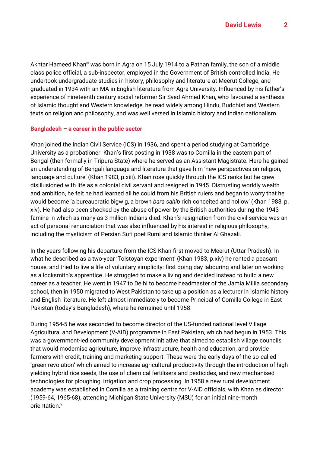Akhtar Hameed Khan<sup>iv</sup> was born in Agra on 15 July 1914 to a Pathan family, the son of a middle class police official, a sub-inspector, employed in the Government of British controlled India. He undertook undergraduate studies in history, philosophy and literature at Meerut College, and graduated in 1934 with an MA in English literature from Agra University. Influenced by his father's experience of nineteenth century social reformer Sir Syed Ahmed Khan, who favoured a synthesis of Islamic thought and Western knowledge, he read widely among Hindu, Buddhist and Western texts on religion and philosophy, and was well versed in Islamic history and Indian nationalism.

## **Bangladesh – a career in the public sector**

Khan joined the Indian Civil Service (ICS) in 1936, and spent a period studying at Cambridge University as a probationer. Khan's first posting in 1938 was to Comilla in the eastern part of Bengal (then formally in Tripura State) where he served as an Assistant Magistrate. Here he gained an understanding of Bengali language and literature that gave him 'new perspectives on religion, language and culture' (Khan 1983, p.xiii). Khan rose quickly through the ICS ranks but he grew disillusioned with life as a colonial civil servant and resigned in 1945. Distrusting worldly wealth and ambition, he felt he had learned all he could from his British rulers and began to worry that he would become 'a bureaucratic bigwig, a brown *bara sahib* rich conceited and hollow' (Khan 1983, p. xiv). He had also been shocked by the abuse of power by the British authorities during the 1943 famine in which as many as 3 million Indians died. Khan's resignation from the civil service was an act of personal renunciation that was also influenced by his interest in religious philosophy, including the mysticism of Persian Sufi poet Rumi and Islamic thinker Al Ghazali.

In the years following his departure from the ICS Khan first moved to Meerut (Uttar Pradesh). In what he described as a two-year 'Tolstoyan experiment' (Khan 1983, p.xiv) he rented a peasant house, and tried to live a life of voluntary simplicity: first doing day labouring and later on working as a locksmith's apprentice. He struggled to make a living and decided instead to build a new career as a teacher. He went in 1947 to Delhi to become headmaster of the Jamia Millia secondary school, then in 1950 migrated to West Pakistan to take up a position as a lecturer in Islamic history and English literature. He left almost immediately to become Principal of Comilla College in East Pakistan (today's Bangladesh), where he remained until 1958.

During 1954-5 he was seconded to become director of the US-funded national level Village Agricultural and Development (V-AID) programme in East Pakistan, which had begun in 1953. This was a government-led community development initiative that aimed to establish village councils that would modernise agriculture, improve infrastructure, health and education, and provide farmers with credit, training and marketing support. These were the early days of the so-called 'green revolution' which aimed to increase agricultural productivity through the introduction of high yielding hybrid rice seeds, the use of chemical fertilisers and pesticides, and new mechanised technologies for ploughing, irrigation and crop processing. In 1958 a new rural development academy was established in Comilla as a training centre for V-AID officials, with Khan as director (1959-64, 1965-68), attending Michigan State University (MSU) for an initial nine-month orientation.<sup>v</sup>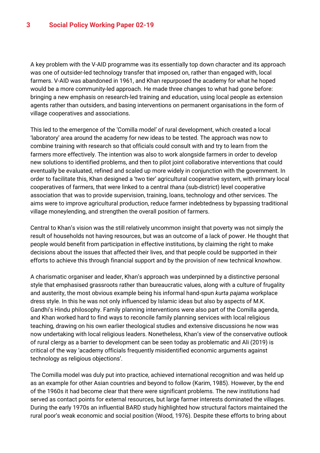A key problem with the V-AID programme was its essentially top down character and its approach was one of outsider-led technology transfer that imposed on, rather than engaged with, local farmers. V-AID was abandoned in 1961, and Khan repurposed the academy for what he hoped would be a more community-led approach. He made three changes to what had gone before: bringing a new emphasis on research-led training and education, using local people as extension agents rather than outsiders, and basing interventions on permanent organisations in the form of village cooperatives and associations.

This led to the emergence of the 'Comilla model' of rural development, which created a local 'laboratory' area around the academy for new ideas to be tested. The approach was now to combine training with research so that officials could consult with and try to learn from the farmers more effectively. The intention was also to work alongside farmers in order to develop new solutions to identified problems, and then to pilot joint collaborative interventions that could eventually be evaluated, refined and scaled up more widely in conjunction with the government. In order to facilitate this, Khan designed a 'two tier' agricultural cooperative system, with primary local cooperatives of farmers, that were linked to a central *thana* (sub-district) level cooperative association that was to provide supervision, training, loans, technology and other services. The aims were to improve agricultural production, reduce farmer indebtedness by bypassing traditional village moneylending, and strengthen the overall position of farmers.

Central to Khan's vision was the still relatively uncommon insight that poverty was not simply the result of households not having resources, but was an outcome of a lack of power. He thought that people would benefit from participation in effective institutions, by claiming the right to make decisions about the issues that affected their lives, and that people could be supported in their efforts to achieve this through financial support and by the provision of new technical knowhow.

A charismatic organiser and leader, Khan's approach was underpinned by a distinctive personal style that emphasised grassroots rather than bureaucratic values, along with a culture of frugality and austerity, the most obvious example being his informal hand-spun *kurta pajama* workplace dress style. In this he was not only influenced by Islamic ideas but also by aspects of M.K. Gandhi's Hindu philosophy. Family planning interventions were also part of the Comilla agenda, and Khan worked hard to find ways to reconcile family planning services with local religious teaching, drawing on his own earlier theological studies and extensive discussions he now was now undertaking with local religious leaders. Nonetheless, Khan's view of the conservative outlook of rural clergy as a barrier to development can be seen today as problematic and Ali (2019) is critical of the way 'academy officials frequently misidentified economic arguments against technology as religious objections'.

The Comilla model was duly put into practice, achieved international recognition and was held up as an example for other Asian countries and beyond to follow (Karim, 1985). However, by the end of the 1960s it had become clear that there were significant problems. The new institutions had served as contact points for external resources, but large farmer interests dominated the villages. During the early 1970s an influential BARD study highlighted how structural factors maintained the rural poor's weak economic and social position (Wood, 1976). Despite these efforts to bring about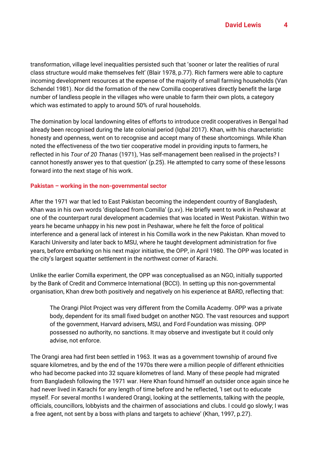transformation, village level inequalities persisted such that 'sooner or later the realities of rural class structure would make themselves felt' (Blair 1978, p.77). Rich farmers were able to capture incoming development resources at the expense of the majority of small farming households (Van Schendel 1981). Nor did the formation of the new Comilla cooperatives directly benefit the large number of landless people in the villages who were unable to farm their own plots, a category which was estimated to apply to around 50% of rural households.

The domination by local landowning elites of efforts to introduce credit cooperatives in Bengal had already been recognised during the late colonial period (Iqbal 2017). Khan, with his characteristic honesty and openness, went on to recognise and accept many of these shortcomings. While Khan noted the effectiveness of the two tier cooperative model in providing inputs to farmers, he reflected in his *Tour of 20 Thanas* (1971), 'Has self-management been realised in the projects? I cannot honestly answer yes to that question' (p.25). He attempted to carry some of these lessons forward into the next stage of his work.

## **Pakistan – working in the non-governmental sector**

After the 1971 war that led to East Pakistan becoming the independent country of Bangladesh, Khan was in his own words 'displaced from Comilla' (p.xv). He briefly went to work in Peshawar at one of the counterpart rural development academies that was located in West Pakistan. Within two years he became unhappy in his new post in Peshawar, where he felt the force of political interference and a general lack of interest in his Comilla work in the new Pakistan. Khan moved to Karachi University and later back to MSU, where he taught development administration for five years, before embarking on his next major initiative, the OPP, in April 1980. The OPP was located in the city's largest squatter settlement in the northwest corner of Karachi.

Unlike the earlier Comilla experiment, the OPP was conceptualised as an NGO, initially supported by the Bank of Credit and Commerce International (BCCI). In setting up this non-governmental organisation, Khan drew both positively and negatively on his experience at BARD, reflecting that:

The Orangi Pilot Project was very different from the Comilla Academy. OPP was a private body, dependent for its small fixed budget on another NGO. The vast resources and support of the government, Harvard advisers, MSU, and Ford Foundation was missing. OPP possessed no authority, no sanctions. It may observe and investigate but it could only advise, not enforce.

The Orangi area had first been settled in 1963. It was as a government township of around five square kilometres, and by the end of the 1970s there were a million people of different ethnicities who had become packed into 32 square kilometres of land. Many of these people had migrated from Bangladesh following the 1971 war. Here Khan found himself an outsider once again since he had never lived in Karachi for any length of time before and he reflected, 'I set out to educate myself. For several months I wandered Orangi, looking at the settlements, talking with the people, officials, councillors, lobbyists and the chairmen of associations and clubs. I could go slowly; I was a free agent, not sent by a boss with plans and targets to achieve' (Khan, 1997, p.27).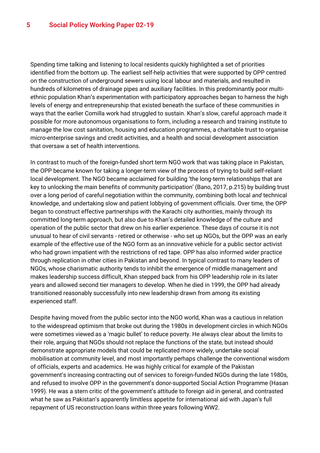Spending time talking and listening to local residents quickly highlighted a set of priorities identified from the bottom up. The earliest self-help activities that were supported by OPP centred on the construction of underground sewers using local labour and materials, and resulted in hundreds of kilometres of drainage pipes and auxiliary facilities. In this predominantly poor multiethnic population Khan's experimentation with participatory approaches began to harness the high levels of energy and entrepreneurship that existed beneath the surface of these communities in ways that the earlier Comilla work had struggled to sustain. Khan's slow, careful approach made it possible for more autonomous organisations to form, including a research and training institute to manage the low cost sanitation, housing and education programmes, a charitable trust to organise micro-enterprise savings and credit activities, and a health and social development association that oversaw a set of health interventions.

In contrast to much of the foreign-funded short term NGO work that was taking place in Pakistan, the OPP became known for taking a longer-term view of the process of trying to build self-reliant local development. The NGO became acclaimed for building 'the long-term relationships that are key to unlocking the main benefits of community participation' (Bano, 2017, p.215) by building trust over a long period of careful negotiation within the community, combining both local *and* technical knowledge, and undertaking slow and patient lobbying of government officials. Over time, the OPP began to construct effective partnerships with the Karachi city authorities, mainly through its committed long-term approach, but also due to Khan's detailed knowledge of the culture and operation of the public sector that drew on his earlier experience. These days of course it is not unusual to hear of civil servants - retired or otherwise - who set up NGOs, but the OPP was an early example of the effective use of the NGO form as an innovative vehicle for a public sector activist who had grown impatient with the restrictions of red tape. OPP has also informed wider practice through replication in other cities in Pakistan and beyond. In typical contrast to many leaders of NGOs, whose charismatic authority tends to inhibit the emergence of middle management and makes leadership success difficult, Khan stepped back from his OPP leadership role in its later years and allowed second tier managers to develop. When he died in 1999, the OPP had already transitioned reasonably successfully into new leadership drawn from among its existing experienced staff.

Despite having moved from the public sector into the NGO world, Khan was a cautious in relation to the widespread optimism that broke out during the 1980s in development circles in which NGOs were sometimes viewed as a 'magic bullet' to reduce poverty. He always clear about the limits to their role, arguing that NGOs should not replace the functions of the state, but instead should demonstrate appropriate models that could be replicated more widely, undertake social mobilisation at community level, and most importantly perhaps challenge the conventional wisdom of officials, experts and academics. He was highly critical for example of the Pakistan government's increasing contracting out of services to foreign-funded NGOs during the late 1980s, and refused to involve OPP in the government's donor-supported Social Action Programme (Hasan 1999). He was a stern critic of the government's attitude to foreign aid in general, and contrasted what he saw as Pakistan's apparently limitless appetite for international aid with Japan's full repayment of US reconstruction loans within three years following WW2.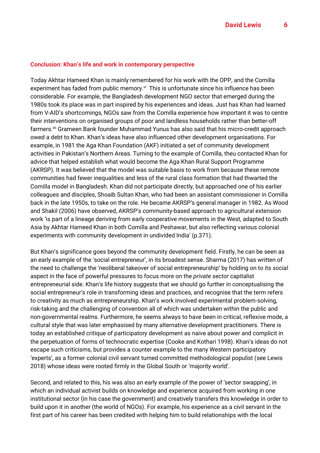#### **Conclusion: Khan's life and work in contemporary perspective**

Today Akhtar Hameed Khan is mainly remembered for his work with the OPP, and the Comilla experiment has faded from public memory.<sup>vi</sup> This is unfortunate since his influence has been considerable. For example, the Bangladesh development NGO sector that emerged during the 1980s took its place was in part inspired by his experiences and ideas. Just has Khan had learned from V-AID's shortcomings, NGOs saw from the Comilla experience how important it was to centre their interventions on organised groups of poor and landless households rather than better-off farmers.<sup>vii</sup> Grameen Bank founder Muhammad Yunus has also said that his micro-credit approach owed a debt to Khan. Khan's ideas have also influenced other development organisations. For example, in 1981 the Aga Khan Foundation (AKF) initiated a set of community development activities in Pakistan's Northern Areas. Turning to the example of Comilla, theu contacted Khan for advice that helped establish what would become the Aga Khan Rural Support Programme (AKRSP). It was believed that the model was suitable basis to work from because these remote communities had fewer inequalities and less of the rural class formation that had thwarted the Comilla model in Bangladesh. Khan did not participate directly, but approached one of his earlier colleagues and disciples, Shoaib Sultan Khan, who had been an assistant commissioner in Comilla back in the late 1950s, to take on the role. He became AKRSP's general manager in 1982. As Wood and Shakil (2006) have observed, AKRSP's community-based approach to agricultural extension work 'is part of a lineage deriving from early cooperative movements in the West, adapted to South Asia by Akhtar Hameed Khan in both Comilla and Peshawar, but also reflecting various colonial experiments with community development in undivided India' (p.371).

But Khan's significance goes beyond the community development field. Firstly, he can be seen as an early example of the 'social entrepreneur', in its broadest sense. Sharma (2017) has written of the need to challenge the 'neoliberal takeover of social entrepreneurship' by holding on to its *social* aspect in the face of powerful pressures to focus more on the *private sector* capitalist entrepreneurial side. Khan's life history suggests that we should go further in conceptualising the social entrepreneur's role in transforming ideas and practices, and recognise that the term refers to creativity as much as entrepreneurship. Khan's work involved experimental problem-solving, risk-taking and the challenging of convention all of which was undertaken within the public and non-governmental realms. Furthermore, he seems always to have been in critical, reflexive mode, a cultural style that was later emphasised by many alternative development practitioners. There is today an established critique of participatory development as naive about power and complicit in the perpetuation of forms of technocratic expertise (Cooke and Kothari 1998). Khan's ideas do not escape such criticisms, but provides a counter example to the many Western participatory 'experts', as a former colonial civil servant turned committed methodological populist (see Lewis 2018) whose ideas were rooted firmly in the Global South or 'majority world'.

Second, and related to this, his was also an early example of the power of 'sector swapping', in which an individual activist builds on knowledge and experience acquired from working in one institutional sector (in his case the government) and creatively transfers this knowledge in order to build upon it in another (the world of NGOs). For example, his experience as a civil servant in the first part of his career has been credited with helping him to build relationships with the local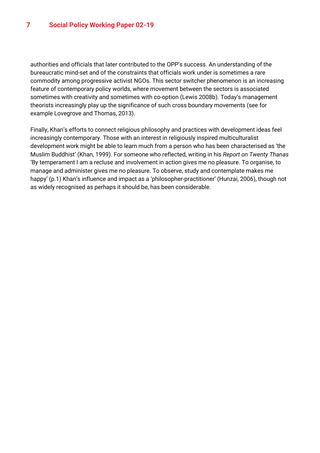authorities and officials that later contributed to the OPP's success. An understanding of the bureaucratic mind-set and of the constraints that officials work under is sometimes a rare commodity among progressive activist NGOs. This sector switcher phenomenon is an increasing feature of contemporary policy worlds, where movement between the sectors is associated sometimes with creativity and sometimes with co-option (Lewis 2008b). Today's management theorists increasingly play up the significance of such cross boundary movements (see for example Lovegrove and Thomas, 2013).

Finally, Khan's efforts to connect religious philosophy and practices with development ideas feel increasingly contemporary. Those with an interest in religiously inspired multiculturalist development work might be able to learn much from a person who has been characterised as 'the Muslim Buddhist' (Khan, 1999). For someone who reflected, writing in his *Report on Twenty Thanas* 'By temperament I am a recluse and involvement in action gives me no pleasure. To organise, to manage and administer gives me no pleasure. To observe, study and contemplate makes me happy' (p.1) Khan's influence and impact as a 'philosopher-practitioner' (Hunzai, 2006), though not as widely recognised as perhaps it should be, has been considerable.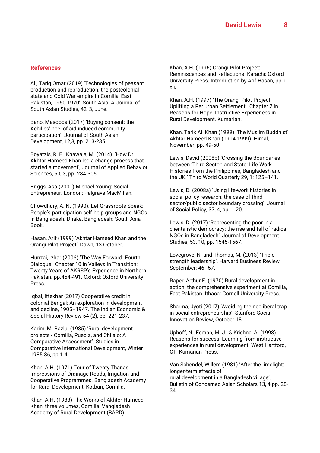#### **References**

Ali, Tariq Omar (2019) 'Technologies of peasant production and reproduction: the postcolonial state and Cold War empire in Comilla, East Pakistan, 1960-1970', South Asia: A Journal of South Asian Studies, 42, 3, June.

Bano, Masooda (2017) 'Buying consent: the Achilles' heel of aid-induced community participation'. Journal of South Asian Development, 12,3, pp. 213-235.

Boyatzis, R. E., Khawaja, M. (2014). 'How Dr. Akhtar Hameed Khan led a change process that started a movement', Journal of Applied Behavior Sciences, 50, 3, pp. 284-306.

Briggs, Asa (2001) Michael Young: Social Entrepreneur. London: Palgrave MacMillan.

Chowdhury, A. N. (1990). Let Grassroots Speak: People's participation self-help groups and NGOs in Bangladesh. Dhaka, Bangladesh: South Asia Book.

Hasan, Arif (1999) 'Akhtar Hameed Khan and the Orangi Pilot Project', Dawn, 13 October.

Hunzai, Izhar (2006) 'The Way Forward: Fourth Dialogue'. Chapter 10 in Valleys In Transition: Twenty Years of AKRSP's Experience in Northern Pakistan. pp.454-491. Oxford: Oxford University Press.

Iqbal, Iftekhar (2017) Cooperative credit in colonial Bengal: An exploration in development and decline, 1905–1947. The Indian Economic & Social History Review 54 (2), pp. 221-237.

Karim, M. Bazlul (1985) 'Rural development projects - Comilla, Puebla, and Chilalo: A Comparative Assessment'. Studies in Comparative International Development, Winter 1985-86, pp.1-41.

Khan, A.H. (1971) Tour of Twenty Thanas: Impressions of Drainage Roads, Irrigation and Cooperative Programmes. Bangladesh Academy for Rural Development, Kotbari, Comilla.

Khan, A.H. (1983) The Works of Akhter Hameed Khan, three volumes, Comilla: Vangladesh Academy of Rural Development (BARD).

Khan, A.H. (1996) Orangi Pilot Project: Reminiscences and Reflections. Karachi: Oxford University Press. Introduction by Arif Hasan, pp. ixli.

Khan, A.H. (1997) 'The Orangi Pilot Project: Uplifting a Periurban Settlement'. Chapter 2 in Reasons for Hope: Instructive Experiences in Rural Development. Kumarian.

Khan, Tarik Ali Khan (1999) 'The Muslim Buddhist' Akhtar Hameed Khan (1914-1999). Himal, November, pp. 49-50.

Lewis, David (2008b) 'Crossing the Boundaries between 'Third Sector' and State: Life Work Histories from the Philippines, Bangladesh and the UK.' Third World Quarterly 29, 1: 125–141.

Lewis, D. (2008a) 'Using life-work histories in social policy research: the case of third sector/public sector boundary crossing'. Journal of Social Policy, 37, 4, pp. 1-20.

Lewis, D. (2017) 'Representing the poor in a clientalistic democracy: the rise and fall of radical NGOs in Bangladesh', Journal of Development Studies, 53, 10, pp. 1545-1567.

Lovegrove, N. and Thomas, M. (2013) 'Triplestrength leadership'. Harvard Business Review, September: 46–57.

Raper, Arthur F. (1970) Rural development in action: the comprehensive experiment at Comilla, East Pakistan. Ithaca: Cornell University Press.

Sharma, Jyoti (2017) 'Avoiding the neoliberal trap in social entrepreneurship'. Stanford Social Innovation Review, October 18.

Uphoff, N., Esman, M. J., & Krishna, A. (1998). Reasons for success: Learning from instructive experiences in rural development. West Hartford, CT: Kumarian Press.

Van Schendel, Willem (1981) 'After the limelight: longer-term effects of rural development in a Bangladesh village'. Bulletin of Concerned Asian Scholars 13, 4 pp. 28- 34.